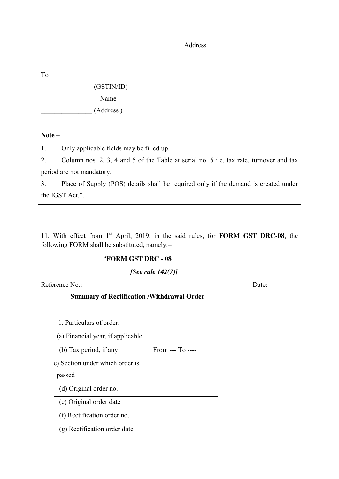## "**FORM GST DRC - 08**

*[See rule 142(7)]*

Reference No.: Date:

## **Summary of Rectification /Withdrawal Order**

| $From -- To --$ |
|-----------------|
|                 |
|                 |
|                 |
|                 |
|                 |
|                 |
|                 |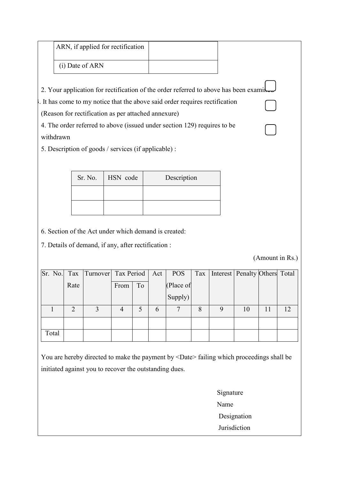| ARN, if applied for rectification |  |
|-----------------------------------|--|
| (i) Date of ARN                   |  |

2. Your application for rectification of the order referred to above has been exami

3. It has come to my notice that the above said order requires rectification

(Reason for rectification as per attached annexure)

4. The order referred to above (issued under section 129) requires to be withdrawn

5. Description of goods / services (if applicable) :

| Sr. No. | HSN code | Description |
|---------|----------|-------------|
|         |          |             |
|         |          |             |

6. Section of the Act under which demand is created:

7. Details of demand, if any, after rectification :

(Amount in Rs.)

| Sr. No. |      | Tax   Turnover   Tax Period   Act |      |    |   | <b>POS</b> | Tax | Interest   Penalty Others   Total |    |    |    |
|---------|------|-----------------------------------|------|----|---|------------|-----|-----------------------------------|----|----|----|
|         | Rate |                                   | From | To |   | (Place of  |     |                                   |    |    |    |
|         |      |                                   |      |    |   | Supply)    |     |                                   |    |    |    |
|         | 2    |                                   |      |    | 6 |            | 8   |                                   | 10 | 11 | 12 |
|         |      |                                   |      |    |   |            |     |                                   |    |    |    |
| Total   |      |                                   |      |    |   |            |     |                                   |    |    |    |

You are hereby directed to make the payment by <Date> failing which proceedings shall be initiated against you to recover the outstanding dues.

> Signature Name Designation **Jurisdiction**